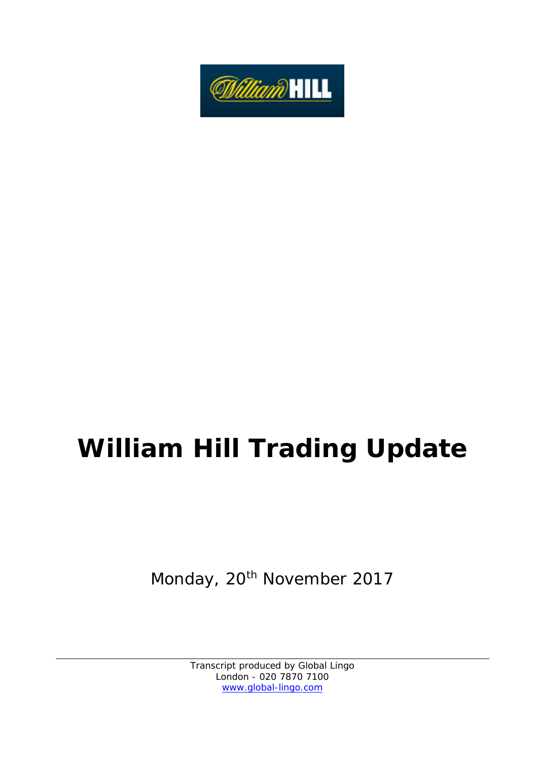

# **William Hill Trading Update**

Monday, 20<sup>th</sup> November 2017

Transcript produced by Global Lingo London - 020 7870 7100 www.global-lingo.com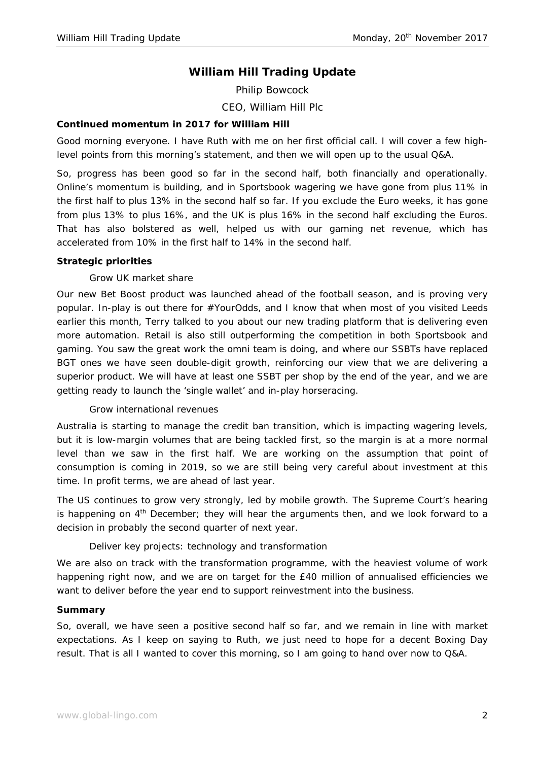# **William Hill Trading Update**

Philip Bowcock *CEO, William Hill Plc* 

## **Continued momentum in 2017 for William Hill**

Good morning everyone. I have Ruth with me on her first official call. I will cover a few highlevel points from this morning's statement, and then we will open up to the usual Q&A.

So, progress has been good so far in the second half, both financially and operationally. Online's momentum is building, and in Sportsbook wagering we have gone from plus 11% in the first half to plus 13% in the second half so far. If you exclude the Euro weeks, it has gone from plus 13% to plus 16%, and the UK is plus 16% in the second half excluding the Euros. That has also bolstered as well, helped us with our gaming net revenue, which has accelerated from 10% in the first half to 14% in the second half.

#### **Strategic priorities**

## *Grow UK market share*

Our new Bet Boost product was launched ahead of the football season, and is proving very popular. In-play is out there for #YourOdds, and I know that when most of you visited Leeds earlier this month, Terry talked to you about our new trading platform that is delivering even more automation. Retail is also still outperforming the competition in both Sportsbook and gaming. You saw the great work the omni team is doing, and where our SSBTs have replaced BGT ones we have seen double-digit growth, reinforcing our view that we are delivering a superior product. We will have at least one SSBT per shop by the end of the year, and we are getting ready to launch the 'single wallet' and in-play horseracing.

#### *Grow international revenues*

Australia is starting to manage the credit ban transition, which is impacting wagering levels, but it is low-margin volumes that are being tackled first, so the margin is at a more normal level than we saw in the first half. We are working on the assumption that point of consumption is coming in 2019, so we are still being very careful about investment at this time. In profit terms, we are ahead of last year.

The US continues to grow very strongly, led by mobile growth. The Supreme Court's hearing is happening on  $4<sup>th</sup>$  December; they will hear the arguments then, and we look forward to a decision in probably the second quarter of next year.

## *Deliver key projects: technology and transformation*

We are also on track with the transformation programme, with the heaviest volume of work happening right now, and we are on target for the £40 million of annualised efficiencies we want to deliver before the year end to support reinvestment into the business.

#### **Summary**

So, overall, we have seen a positive second half so far, and we remain in line with market expectations. As I keep on saying to Ruth, we just need to hope for a decent Boxing Day result. That is all I wanted to cover this morning, so I am going to hand over now to Q&A.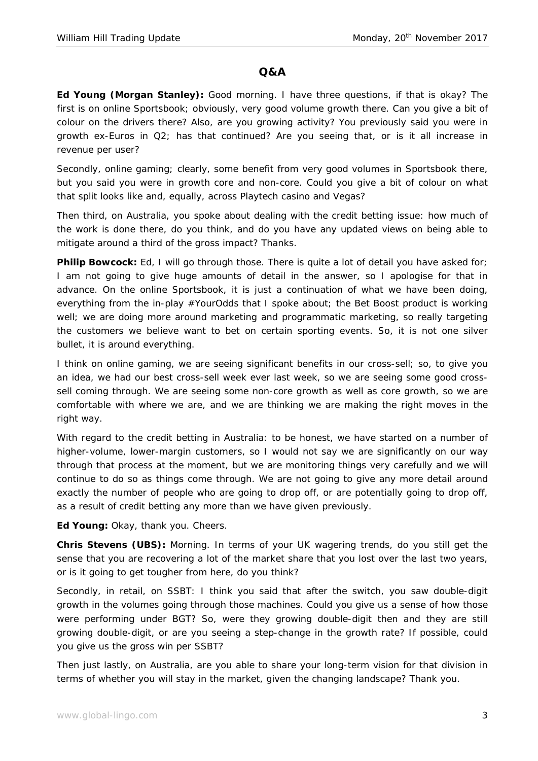## **Q&A**

**Ed Young (Morgan Stanley):** Good morning. I have three questions, if that is okay? The first is on online Sportsbook; obviously, very good volume growth there. Can you give a bit of colour on the drivers there? Also, are you growing activity? You previously said you were in growth ex-Euros in Q2; has that continued? Are you seeing that, or is it all increase in revenue per user?

Secondly, online gaming; clearly, some benefit from very good volumes in Sportsbook there, but you said you were in growth core and non-core. Could you give a bit of colour on what that split looks like and, equally, across Playtech casino and Vegas?

Then third, on Australia, you spoke about dealing with the credit betting issue: how much of the work is done there, do you think, and do you have any updated views on being able to mitigate around a third of the gross impact? Thanks.

**Philip Bowcock:** Ed, I will go through those. There is quite a lot of detail you have asked for; I am not going to give huge amounts of detail in the answer, so I apologise for that in advance. On the online Sportsbook, it is just a continuation of what we have been doing, everything from the in-play #YourOdds that I spoke about; the Bet Boost product is working well; we are doing more around marketing and programmatic marketing, so really targeting the customers we believe want to bet on certain sporting events. So, it is not one silver bullet, it is around everything.

I think on online gaming, we are seeing significant benefits in our cross-sell; so, to give you an idea, we had our best cross-sell week ever last week, so we are seeing some good crosssell coming through. We are seeing some non-core growth as well as core growth, so we are comfortable with where we are, and we are thinking we are making the right moves in the right way.

With regard to the credit betting in Australia: to be honest, we have started on a number of higher-volume, lower-margin customers, so I would not say we are significantly on our way through that process at the moment, but we are monitoring things very carefully and we will continue to do so as things come through. We are not going to give any more detail around exactly the number of people who are going to drop off, or are potentially going to drop off, as a result of credit betting any more than we have given previously.

**Ed Young:** Okay, thank you. Cheers.

**Chris Stevens (UBS):** Morning. In terms of your UK wagering trends, do you still get the sense that you are recovering a lot of the market share that you lost over the last two years, or is it going to get tougher from here, do you think?

Secondly, in retail, on SSBT: I think you said that after the switch, you saw double-digit growth in the volumes going through those machines. Could you give us a sense of how those were performing under BGT? So, were they growing double-digit then and they are still growing double-digit, or are you seeing a step-change in the growth rate? If possible, could you give us the gross win per SSBT?

Then just lastly, on Australia, are you able to share your long-term vision for that division in terms of whether you will stay in the market, given the changing landscape? Thank you.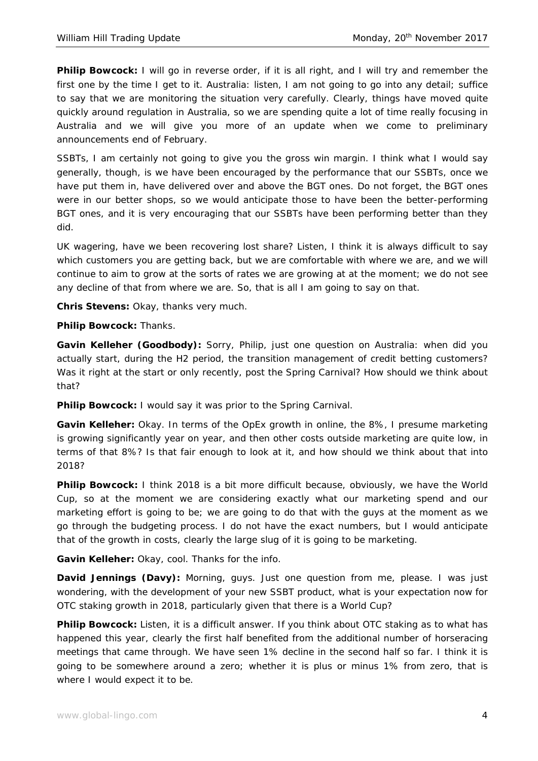**Philip Bowcock:** I will go in reverse order, if it is all right, and I will try and remember the first one by the time I get to it. Australia: listen, I am not going to go into any detail; suffice to say that we are monitoring the situation very carefully. Clearly, things have moved quite quickly around regulation in Australia, so we are spending quite a lot of time really focusing in Australia and we will give you more of an update when we come to preliminary announcements end of February.

SSBTs, I am certainly not going to give you the gross win margin. I think what I would say generally, though, is we have been encouraged by the performance that our SSBTs, once we have put them in, have delivered over and above the BGT ones. Do not forget, the BGT ones were in our better shops, so we would anticipate those to have been the better-performing BGT ones, and it is very encouraging that our SSBTs have been performing better than they did.

UK wagering, have we been recovering lost share? Listen, I think it is always difficult to say which customers you are getting back, but we are comfortable with where we are, and we will continue to aim to grow at the sorts of rates we are growing at at the moment; we do not see any decline of that from where we are. So, that is all I am going to say on that.

**Chris Stevens:** Okay, thanks very much.

**Philip Bowcock:** Thanks.

**Gavin Kelleher (Goodbody):** Sorry, Philip, just one question on Australia: when did you actually start, during the H2 period, the transition management of credit betting customers? Was it right at the start or only recently, post the Spring Carnival? How should we think about that?

**Philip Bowcock:** I would say it was prior to the Spring Carnival.

**Gavin Kelleher:** Okay. In terms of the OpEx growth in online, the 8%, I presume marketing is growing significantly year on year, and then other costs outside marketing are quite low, in terms of that 8%? Is that fair enough to look at it, and how should we think about that into 2018?

**Philip Bowcock:** I think 2018 is a bit more difficult because, obviously, we have the World Cup, so at the moment we are considering exactly what our marketing spend and our marketing effort is going to be; we are going to do that with the guys at the moment as we go through the budgeting process. I do not have the exact numbers, but I would anticipate that of the growth in costs, clearly the large slug of it is going to be marketing.

**Gavin Kelleher:** Okay, cool. Thanks for the info.

**David Jennings (Davy):** Morning, guys. Just one question from me, please. I was just wondering, with the development of your new SSBT product, what is your expectation now for OTC staking growth in 2018, particularly given that there is a World Cup?

**Philip Bowcock:** Listen, it is a difficult answer. If you think about OTC staking as to what has happened this year, clearly the first half benefited from the additional number of horseracing meetings that came through. We have seen 1% decline in the second half so far. I think it is going to be somewhere around a zero; whether it is plus or minus 1% from zero, that is where I would expect it to be.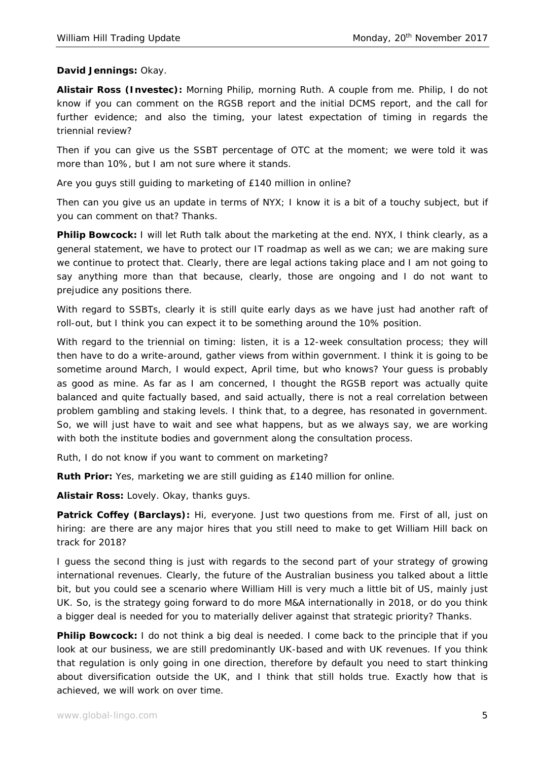## **David Jennings:** Okay.

**Alistair Ross (Investec):** Morning Philip, morning Ruth. A couple from me. Philip, I do not know if you can comment on the RGSB report and the initial DCMS report, and the call for further evidence; and also the timing, your latest expectation of timing in regards the triennial review?

Then if you can give us the SSBT percentage of OTC at the moment; we were told it was more than 10%, but I am not sure where it stands.

Are you guys still guiding to marketing of £140 million in online?

Then can you give us an update in terms of NYX; I know it is a bit of a touchy subject, but if you can comment on that? Thanks.

**Philip Bowcock:** I will let Ruth talk about the marketing at the end. NYX, I think clearly, as a general statement, we have to protect our IT roadmap as well as we can; we are making sure we continue to protect that. Clearly, there are legal actions taking place and I am not going to say anything more than that because, clearly, those are ongoing and I do not want to prejudice any positions there.

With regard to SSBTs, clearly it is still quite early days as we have just had another raft of roll-out, but I think you can expect it to be something around the 10% position.

With regard to the triennial on timing: listen, it is a 12-week consultation process; they will then have to do a write-around, gather views from within government. I think it is going to be sometime around March, I would expect, April time, but who knows? Your guess is probably as good as mine. As far as I am concerned, I thought the RGSB report was actually quite balanced and quite factually based, and said actually, there is not a real correlation between problem gambling and staking levels. I think that, to a degree, has resonated in government. So, we will just have to wait and see what happens, but as we always say, we are working with both the institute bodies and government along the consultation process.

Ruth, I do not know if you want to comment on marketing?

**Ruth Prior:** Yes, marketing we are still guiding as £140 million for online.

**Alistair Ross:** Lovely. Okay, thanks guys.

Patrick Coffey (Barclays): Hi, everyone. Just two questions from me. First of all, just on hiring: are there are any major hires that you still need to make to get William Hill back on track for 2018?

I guess the second thing is just with regards to the second part of your strategy of growing international revenues. Clearly, the future of the Australian business you talked about a little bit, but you could see a scenario where William Hill is very much a little bit of US, mainly just UK. So, is the strategy going forward to do more M&A internationally in 2018, or do you think a bigger deal is needed for you to materially deliver against that strategic priority? Thanks.

**Philip Bowcock:** I do not think a big deal is needed. I come back to the principle that if you look at our business, we are still predominantly UK-based and with UK revenues. If you think that regulation is only going in one direction, therefore by default you need to start thinking about diversification outside the UK, and I think that still holds true. Exactly how that is achieved, we will work on over time.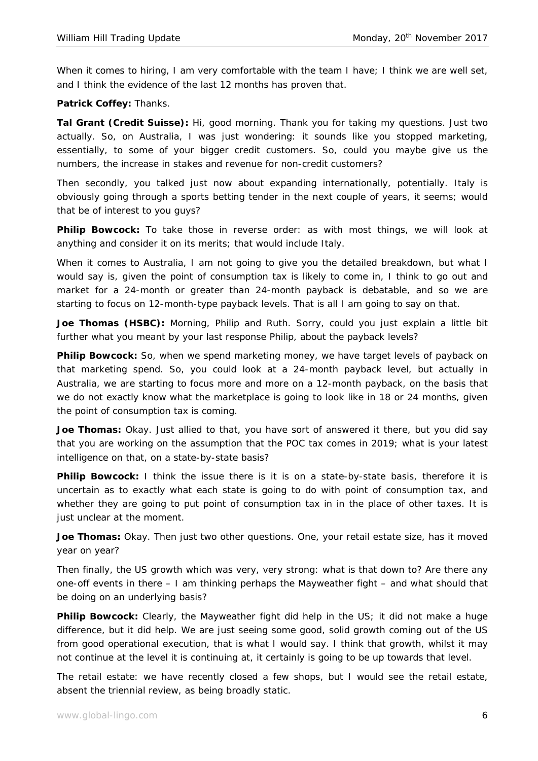When it comes to hiring, I am very comfortable with the team I have; I think we are well set, and I think the evidence of the last 12 months has proven that.

## **Patrick Coffey:** Thanks.

**Tal Grant (Credit Suisse):** Hi, good morning. Thank you for taking my questions. Just two actually. So, on Australia, I was just wondering: it sounds like you stopped marketing, essentially, to some of your bigger credit customers. So, could you maybe give us the numbers, the increase in stakes and revenue for non-credit customers?

Then secondly, you talked just now about expanding internationally, potentially. Italy is obviously going through a sports betting tender in the next couple of years, it seems; would that be of interest to you guys?

Philip Bowcock: To take those in reverse order: as with most things, we will look at anything and consider it on its merits; that would include Italy.

When it comes to Australia, I am not going to give you the detailed breakdown, but what I would say is, given the point of consumption tax is likely to come in, I think to go out and market for a 24-month or greater than 24-month payback is debatable, and so we are starting to focus on 12-month-type payback levels. That is all I am going to say on that.

**Joe Thomas (HSBC):** Morning, Philip and Ruth. Sorry, could you just explain a little bit further what you meant by your last response Philip, about the payback levels?

Philip Bowcock: So, when we spend marketing money, we have target levels of payback on that marketing spend. So, you could look at a 24-month payback level, but actually in Australia, we are starting to focus more and more on a 12-month payback, on the basis that we do not exactly know what the marketplace is going to look like in 18 or 24 months, given the point of consumption tax is coming.

**Joe Thomas:** Okay. Just allied to that, you have sort of answered it there, but you did say that you are working on the assumption that the POC tax comes in 2019; what is your latest intelligence on that, on a state-by-state basis?

**Philip Bowcock:** I think the issue there is it is on a state-by-state basis, therefore it is uncertain as to exactly what each state is going to do with point of consumption tax, and whether they are going to put point of consumption tax in in the place of other taxes. It is just unclear at the moment.

**Joe Thomas:** Okay. Then just two other questions. One, your retail estate size, has it moved year on year?

Then finally, the US growth which was very, very strong: what is that down to? Are there any one-off events in there – I am thinking perhaps the Mayweather fight – and what should that be doing on an underlying basis?

**Philip Bowcock:** Clearly, the Mayweather fight did help in the US; it did not make a huge difference, but it did help. We are just seeing some good, solid growth coming out of the US from good operational execution, that is what I would say. I think that growth, whilst it may not continue at the level it is continuing at, it certainly is going to be up towards that level.

The retail estate: we have recently closed a few shops, but I would see the retail estate, absent the triennial review, as being broadly static.